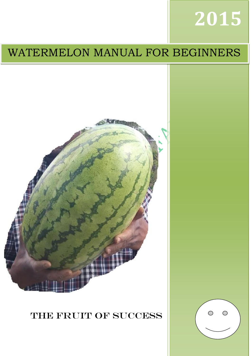# **2015**

## WATERMELON MANUAL FOR BEGINNERS





## THE FRUIT OF SUCCESS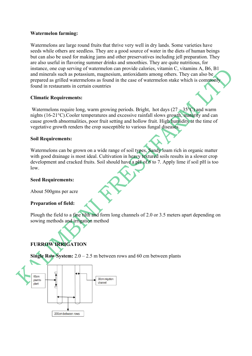#### **Watermelon farming:**

Watermelons are large round fruits that thrive very well in dry lands. Some varieties have seeds while others are seedless. They are a good source of water in the diets of human beings but can also be used for making jams and other preservatives including jell preparation. They are also useful in flavoring summer drinks and smoothies. They are quite nutritious, for instance, one cup serving of watermelon can provide calories, vitamin C, vitamins A, B6, B1 and minerals such as potassium, magnesium, antioxidants among others. They can also be prepared as grilled watermelons as found in the case of watermelon stake which is commonly found in restaurants in certain countries

#### **Climatic Requirements:**

Watermelons require long, warm growing periods. Bright, hot days  $(27 - 35^{\circ}C)$  and warm nights (16-21°C).Cooler temperatures and excessive rainfall slows growth, maturity and can cause growth abnormalities, poor fruit setting and hollow fruit. High humidity at the time of vegetative growth renders the crop susceptible to various fungal diseases.

#### **Soil Requirements:**

Watermelons can be grown on a wide range of soil types, Sandy loam rich in organic matter with good drainage is most ideal. Cultivation in heavy textured soils results in a slower crop development and cracked fruits. Soil should have a pH of 6 to 7. Apply lime if soil pH is too low.

#### **Seed Requirements:**

About 500gms per acre

#### **Preparation of field:**

Plough the field to a fine tilth and form long channels of 2.0 or 3.5 meters apart depending on sowing methods and irrigation method

#### **FURROW IRRIGATION**

**Single Row System:** 2.0 – 2.5 m between rows and 60 cm between plants

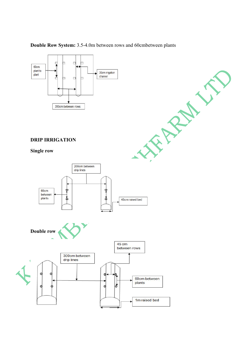

**Double Row System:** 3.5-4.0m between rows and 60cmbetween plants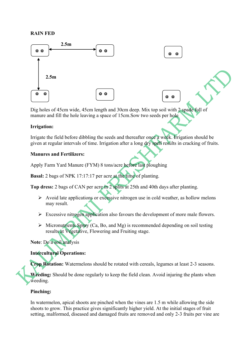#### **RAIN FED**



Dig holes of 45cm wide, 45cm length and 30cm deep. Mix top soil with 2 spade full of manure and fill the hole leaving a space of 15cm.Sow two seeds per hole

#### **Irrigation:**

Irrigate the field before dibbling the seeds and thereafter once a week. Irrigation should be given at regular intervals of time. Irrigation after a long dry spell results in cracking of fruits.

#### **Manures and Fertilizers:**

Apply Farm Yard Manure (FYM) 8 tons/acre before last ploughing

**Basal:** 2 bags of NPK 17:17:17 per acre at the time of planting.

**Top dress:** 2 bags of CAN per acre in 2 splits at 25th and 40th days after planting.

- $\triangleright$  Avoid late applications or excessive nitrogen use in cold weather, as hollow melons may result.
- $\triangleright$  Excessive nitrogen application also favours the development of more male flowers.
- $\triangleright$  Micronutrients Spray (Ca, Bo, and Mg) is recommended depending on soil testing results at Vegetative, Flowering and Fruiting stage.

#### **Note**: Do a soil analysis

#### **Intercultural Operations:**

**Crop Rotation:** Watermelons should be rotated with cereals, legumes at least 2-3 seasons.

**Weeding:** Should be done regularly to keep the field clean. Avoid injuring the plants when weeding.

#### **Pinching:**

In watermelon, apical shoots are pinched when the vines are 1.5 m while allowing the side shoots to grow. This practice gives significantly higher yield. At the initial stages of fruit setting, malformed, diseased and damaged fruits are removed and only 2-3 fruits per vine are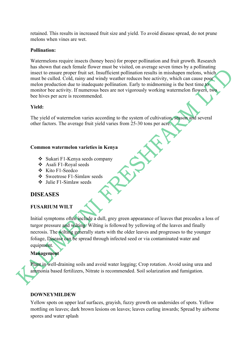retained. This results in increased fruit size and yield. To avoid disease spread, do not prune melons when vines are wet.

#### **Pollination:**

Watermelons require insects (honey bees) for proper pollination and fruit growth. Research has shown that each female flower must be visited, on average seven times by a pollinating insect to ensure proper fruit set. Insufficient pollination results in misshapen melons, which must be culled. Cold, rainy and windy weather reduces bee activity, which can cause poor melon production due to inadequate pollination. Early to midmorning is the best time to monitor bee activity. If numerous bees are not vigorously working watermelon flowers, two bee hives per acre is recommended.

#### **Yield:**

The yield of watermelon varies according to the system of cultivation, season and several other factors. The average fruit yield varies from 25-30 tons per acre.

#### **Common watermelon varieties in Kenya**

- v Sukari F1-Kenya seeds company
- $\triangle$  Asali F1-Royal seeds
- $\div$  Kito F1-Seedco
- v Sweetrose F1-Simlaw seeds
- $\bullet$  Julie F1-Simlaw seeds

#### **DISEASES**

#### **[FUSARIUM](http://kambuae.blogspot.com/2008/04/fusarium-wilt.html) WILT**

Initial symptoms often include a dull, grey green appearance of leaves that precedes a loss of turgor pressure and wilting. Wilting is followed by yellowing of the leaves and finally necrosis. The wilting generally starts with the older leaves and progresses to the younger foliage, Disease can be spread through infected seed or via contaminated water and equipment.

#### **Management**

Plant in well-draining soils and avoid water logging; Crop rotation. Avoid using urea and ammonia based fertilizers, Nitrate is recommended. Soil solarization and fumigation.

#### **DOWNEYMILDEW**

Yellow spots on upper leaf surfaces, grayish, fuzzy growth on undersides of spots. Yellow mottling on leaves; dark brown lesions on leaves; leaves curling inwards; Spread by airborne spores and water splash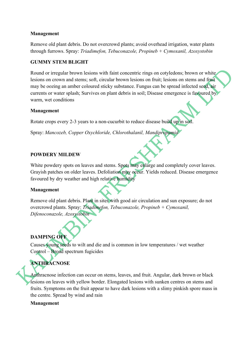#### **Management**

Remove old plant debris. Do not overcrowd plants; avoid overhead irrigation, water plants through furrows. Spray: *Triadimefon, Tebuconazole, Propineb + Cymoxanil, Azoxystobin*

#### **GUMMY STEM BLIGHT**

Round or irregular brown lesions with faint concentric rings on cotyledons; brown or white lesions on crown and stems; soft, circular brown lesions on fruit; lesions on stems and fruit may be oozing an amber coloured sticky substance. Fungus can be spread infected seed, air currents or water splash; Survives on plant debris in soil; Disease emergence is favoured by warm, wet conditions

#### **Management**

Rotate crops every 2-3 years to a non-cucurbit to reduce disease build up in soil.

Spray: *Mancozeb, Copper Oxychloride, Chlorothalanil, Mandipropamid*

#### **POWDERY MILDEW**

White powdery spots on leaves and stems. Spots may enlarge and completely cover leaves. Grayish patches on older leaves. Defoliation may occur. Yields reduced. Disease emergence favoured by dry weather and high relative humidity

#### **Management**

Remove old plant debris. Plant in sites with good air circulation and sun exposure; do not overcrowd plants. Spray: *Triadimefon, Tebuconazole, Propineb + Cymoxanil, Difenoconazole, Azoxystobin*

#### **DAMPING OFF**

Causes young seeds to wilt and die and is common in low temperatures / wet weather Control – Broad spectrum fugicides

#### **ANTHRACNOSE**

Anthracnose infection can occur on stems, leaves, and fruit. Angular, dark brown or black lesions on leaves with yellow border. Elongated lesions with sunken centres on stems and fruits. Symptoms on the fruit appear to have dark lesions with a slimy pinkish spore mass in the centre. Spread by wind and rain

#### **Management**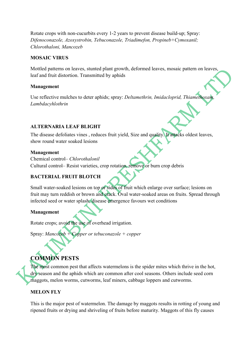Rotate crops with non-cucurbits every 1-2 years to prevent disease build-up; Spray: *Difenoconazole, Azoxystrobin, Tebuconazole, Triadimefon, Propineb+Cymoxanil; Chlorothaloni, Mancozeb*

#### **MOSAIC VIRUS**

Mottled patterns on leaves, stunted plant growth, deformed leaves, mosaic pattern on leaves, leaf and fruit distortion. Transmitted by aphids

#### **Management**

Use reflective mulches to deter aphids; spray: *Deltamethrin, Imidacloprid, Thiamethoxam, Lambdacyhlothrin*

#### **ALTERNARIA LEAF BLIGHT**

The disease defoliates vines , reduces fruit yield, Size and quality. It attacks oldest leaves, show round water soaked lesions

#### **Management**

Chemical control– *Chlorothalonil* Cultural control– Resist varieties, crop rotation, remove or burn crop debris

#### **BACTERIAL FRUIT BLOTCH**

Small water-soaked lesions on top or sides of fruit which enlarge over surface; lesions on fruit may turn reddish or brown and crack. Oval water-soaked areas on fruits. Spread through infected seed or water splash; disease emergence favours wet conditions

#### **Management**

Rotate crops; avoid the use of overhead irrigation.

Spray: *Mancozeb + Copper or tebuconazole + copper*

### **COMMON PESTS**

The most common pest that affects watermelons is the spider mites which thrive in the hot, dry season and the aphids which are common after cool seasons. Others include seed corn maggots, melon worms, cutworms, leaf miners, cabbage loppers and cutworms.

#### **MELON FLY**

This is the major pest of watermelon. The damage by maggots results in rotting of young and ripened fruits or drying and shriveling of fruits before maturity. Maggots of this fly causes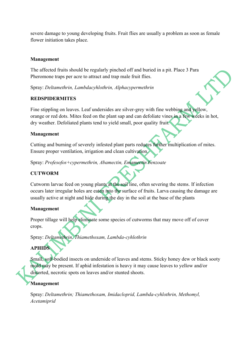severe damage to young developing fruits. Fruit flies are usually a problem as soon as female flower initiation takes place.

#### **Management**

The affected fruits should be regularly pinched off and buried in a pit. Place 3 Para Pheromone traps per acre to attract and trap male fruit flies.

Spray: *Deltamethrin, Lambdacyhlothrin, Alphacypermethrin*

#### **REDSPIDERMITES**

Fine stippling on leaves. Leaf undersides are silver-grey with fine webbing and yellow, orange or red dots. Mites feed on the plant sap and can defoliate vines in a few weeks in hot, dry weather. Defoliated plants tend to yield small, poor quality fruit.

#### **Management**

Cutting and burning of severely infested plant parts reduces further multiplication of mites. Ensure proper ventilation, irrigation and clean cultivation.

Spray: *Profesofos+cypermethrin, Abamectin, Emamectin benzoate*

#### **CUTWORM**

Cutworm larvae feed on young plants at the soil line, often severing the stems. If infection occurs later irregular holes are eaten into the surface of fruits. Larva causing the damage are usually active at night and hide during the day in the soil at the base of the plants

#### **Management**

Proper tillage will help eliminate some species of cutworms that may move off of cover crops.

Spray: *Deltamethrin, Thiamethoxam, Lambda-cyhlothrin*

#### **APHIDS**

Small, soft-bodied insects on underside of leaves and stems. Sticky honey dew or black sooty mold may be present. If aphid infestation is heavy it may cause leaves to yellow and/or distorted, necrotic spots on leaves and/or stunted shoots.

#### **Management**

Spray: *Deltamethrin; Thiamethoxam, Imidacloprid, Lambda-cyhlothrin, Methomyl, Acetamiprid*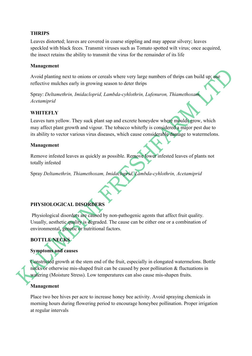#### **THRIPS**

Leaves distorted; leaves are covered in coarse stippling and may appear silvery; leaves speckled with black feces. Transmit viruses such as Tomato spotted wilt virus; once acquired, the insect retains the ability to transmit the virus for the remainder of its life

#### **Management**

Avoid planting next to onions or cereals where very large numbers of thrips can build up; use reflective mulches early in growing season to deter thrips

Spray: *Deltamethrin, Imidacloprid, Lambda-cyhlothrin, Lufenuron, Thiamethoxam, Acetamiprid*

#### **WHITEFLY**

Leaves turn yellow. They suck plant sap and excrete honeydew where moulds grow, which may affect plant growth and vigour. The tobacco whitefly is considered a major pest due to its ability to vector various virus diseases, which cause considerable damage to watermelons.

#### **Management**

Remove infested leaves as quickly as possible. Remove lower infested leaves of plants not totally infested

Spray *Deltamethrin, Thiamethoxam, Imidacloprid, Lambda-cyhlothrin, Acetamiprid*

#### **PHYSIOLOGICAL DISORDERS**

Physiological disorders are caused by non-pathogenic agents that affect fruit quality. Usually, aesthetic quality is degraded. The cause can be either one or a combination of environmental, genetic or nutritional factors.

#### **BOTTLE NECKS**

#### **Symptoms and causes**

Constricted growth at the stem end of the fruit, especially in elongated watermelons. Bottle necks or otherwise mis-shaped fruit can be caused by poor pollination & fluctuations in watering (Moisture Stress). Low temperatures can also cause mis-shapen fruits.

#### **Management**

Place two bee hives per acre to increase honey bee activity. Avoid spraying chemicals in morning hours during flowering period to encourage honeybee pollination. Proper irrigation at regular intervals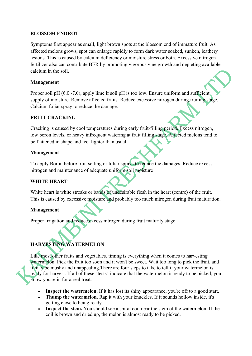#### **BLOSSOM ENDROT**

Symptoms first appear as small, light brown spots at the blossom end of immature fruit. As affected melons grows, spot can enlarge rapidly to form dark water soaked, sunken, leathery lesions. This is caused by calcium deficiency or moisture stress or both. Excessive nitrogen fertilizer also can contribute BER by promoting vigorous vine growth and depleting available calcium in the soil.

#### **Management**

Proper soil pH (6.0 -7.0), apply lime if soil pH is too low. Ensure uniform and sufficient supply of moisture. Remove affected fruits. Reduce excessive nitrogen during fruiting stage. Calcium foliar spray to reduce the damage.

#### **FRUIT CRACKING**

Cracking is caused by cool temperatures during early fruit-filling period. Excess nitrogen, low boron levels, or heavy infrequent watering at fruit filling stage. Affected melons tend to be flattened in shape and feel lighter than usual

#### **Management**

To apply Boron before fruit setting or foliar sprays to reduce the damages. Reduce excess nitrogen and maintenance of adequate uniform soil moisture

#### **WHITE HEART**

White heart is white streaks or bands of undesirable flesh in the heart (centre) of the fruit. This is caused by excessive moisture and probably too much nitrogen during fruit maturation.

#### **Management**

Proper Irrigation and reduce excess nitrogen during fruit maturity stage

#### **HARVESTING WATERMELON**

Like most other fruits and vegetables, timing is everything when it comes to harvesting watermelon. Pick the fruit too soon and it won't be sweet. Wait too long to pick the fruit, and it may be mushy and unappealing.There are four steps to take to tell if your watermelon is ready for harvest. If all of these "tests" indicate that the watermelon is ready to be picked, you know you're in for a real treat.

- Inspect the watermelon. If it has lost its shiny appearance, you're off to a good start.
- Thump the watermelon. Rap it with your knuckles. If it sounds hollow inside, it's getting close to being ready.
- Inspect the stem. You should see a spiral coil near the stem of the watermelon. If the coil is brown and dried up, the melon is almost ready to be picked.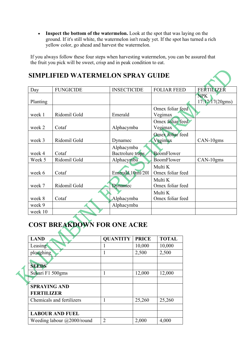• Inspect the bottom of the watermelon. Look at the spot that was laying on the ground. If it's still white, the watermelon isn't ready yet. If the spot has turned a rich yellow color, go ahead and harvest the watermelon.

If you always follow these four steps when harvesting watermelon, you can be assured that the fruit you pick will be sweet, crisp and in peak condition to eat.

|          | <b>SIMPLIFIED WATERMELON SPRAY GUIDE</b> |                                |                             |                               |
|----------|------------------------------------------|--------------------------------|-----------------------------|-------------------------------|
| Day      | <b>FUNGICIDE</b>                         | <b>INSECTICIDE</b>             | <b>FOLIAR FEED</b>          | <b>FERTILIZER</b>             |
| Planting |                                          |                                |                             | <b>NPK</b><br>17:17:17(20gms) |
| week 1   | Ridomil Gold                             | Emerald                        | Omex foliar feed<br>Vegimax |                               |
| week 2   | Cotaf                                    | Alphacymba                     | Omex foliar feed<br>Vegimax |                               |
| week 3   | Ridomil Gold                             | Dynamec                        | Omex foliar feed<br>Vegimax | CAN-10gms                     |
| week 4   | Cotaf                                    | Alphacymba<br>Bactrolure traps | <b>BoomFlower</b>           |                               |
| Week 5   | Ridomil Gold                             | Alphacymba                     | BoomFlower                  | CAN-10gms                     |
| week 6   | Cotaf                                    | Emerald 10ml/201               | Multi K<br>Omex foliar feed |                               |
| week 7   | Ridomil Gold                             | <b>Dynamec</b>                 | Multi K<br>Omex foliar feed |                               |
| week 8   | Cotaf                                    | Alphacymba                     | Multi K<br>Omex foliar feed |                               |
| week 9   |                                          | Alphacymba                     |                             |                               |
| week 10  |                                          |                                |                             |                               |

#### **COST BREAKDOWN FOR ONE ACRE**  $\blacktriangle$

|  | <b>LAND</b>                        | <b>QUANTITY</b> | <b>PRICE</b> | <b>TOTAL</b> |
|--|------------------------------------|-----------------|--------------|--------------|
|  | Leasing                            |                 | 10,000       | 10,000       |
|  | ploughing                          |                 | 2,500        | 2,500        |
|  |                                    |                 |              |              |
|  | <b>SEEDS</b>                       |                 |              |              |
|  | Sukari F1 500gms                   |                 | 12,000       | 12,000       |
|  |                                    |                 |              |              |
|  | <b>SPRAYING AND</b>                |                 |              |              |
|  | <b>FERTILIZER</b>                  |                 |              |              |
|  | Chemicals and fertilizers          |                 | 25,260       | 25,260       |
|  |                                    |                 |              |              |
|  | <b>LABOUR AND FUEL</b>             |                 |              |              |
|  | Weeding labour $\omega$ 2000/round | $\overline{2}$  | 2,000        | 4,000        |
|  |                                    |                 |              |              |